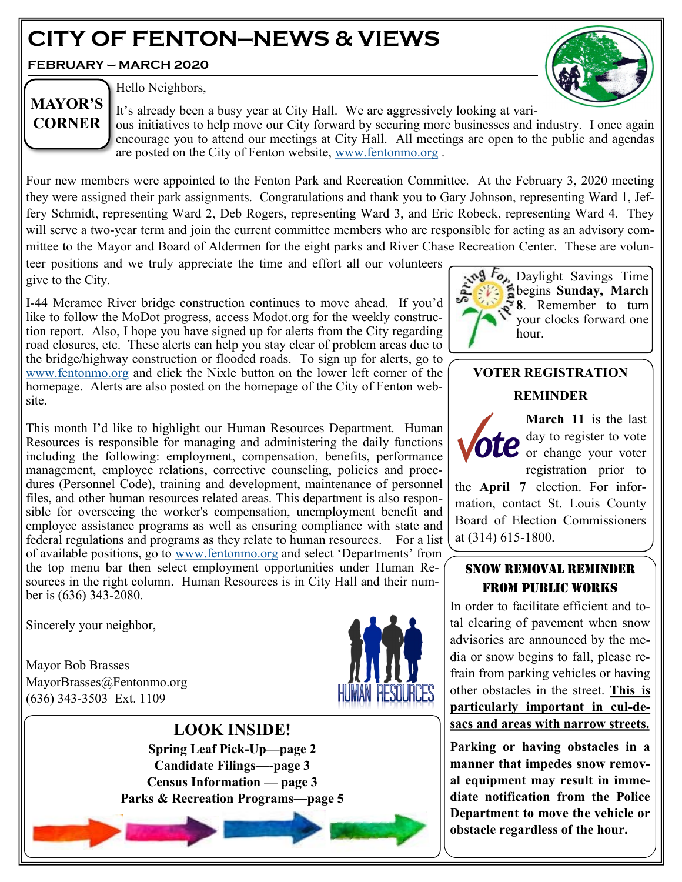# **CITY OF FENTON—NEWS & VIEWS**

**FEBRUARY — MARCH 2020**



**MAYOR'S CORNER**

Hello Neighbors,

It's already been a busy year at City Hall. We are aggressively looking at various initiatives to help move our City forward by securing more businesses and industry. I once again encourage you to attend our meetings at City Hall. All meetings are open to the public and agendas are posted on the City of Fenton website, [www.fentonmo.org](http://www.fentonmo.org) .

Four new members were appointed to the Fenton Park and Recreation Committee. At the February 3, 2020 meeting they were assigned their park assignments. Congratulations and thank you to Gary Johnson, representing Ward 1, Jeffery Schmidt, representing Ward 2, Deb Rogers, representing Ward 3, and Eric Robeck, representing Ward 4. They will serve a two-year term and join the current committee members who are responsible for acting as an advisory committee to the Mayor and Board of Aldermen for the eight parks and River Chase Recreation Center. These are volun-

teer positions and we truly appreciate the time and effort all our volunteers give to the City.

I-44 Meramec River bridge construction continues to move ahead. If you'd like to follow the MoDot progress, access Modot.org for the weekly construction report. Also, I hope you have signed up for alerts from the City regarding road closures, etc. These alerts can help you stay clear of problem areas due to the bridge/highway construction or flooded roads. To sign up for alerts, go to [www.fentonmo.org](http://www.fentonmo.org) and click the Nixle button on the lower left corner of the homepage. Alerts are also posted on the homepage of the City of Fenton website.



# **VOTER REGISTRATION REMINDER**

the **April 7** election. For information, contact St. Louis County Board of Election Commissioners

SNOW REMOVAL REMINDER FROM PUBLIC WORKS

tal clearing of pavement when snow advisories are announced by the media or snow begins to fall, please refrain from parking vehicles or having other obstacles in the street. **This is particularly important in cul-de-**

at (314) 615-1800.

**March 11** is the last day to register to vote or change your voter registration prior to

This month I'd like to highlight our Human Resources Department. Human Resources is responsible for managing and administering the daily functions including the following: employment, compensation, benefits, performance management, employee relations, corrective counseling, policies and procedures (Personnel Code), training and development, maintenance of personnel files, and other human resources related areas. This department is also responsible for overseeing the worker's compensation, unemployment benefit and employee assistance programs as well as ensuring compliance with state and federal regulations and programs as they relate to human resources. For a list of available positions, go to [www.fentonmo.org](http://www.fentonmo.org) and select 'Departments' from the top menu bar then select employment opportunities under Human Resources in the right column. Human Resources is in City Hall and their number is (636) 343-2080. In order to facilitate efficient and to-

Sincerely your neighbor,

Mayor Bob Brasses MayorBrasses@Fentonmo.org (636) 343-3503 Ext. 1109



**LOOK INSIDE! Spring Leaf Pick-Up—page 2 Candidate Filings—-page 3 Census Information — page 3 Parks & Recreation Programs—page 5**



**obstacle regardless of the hour.**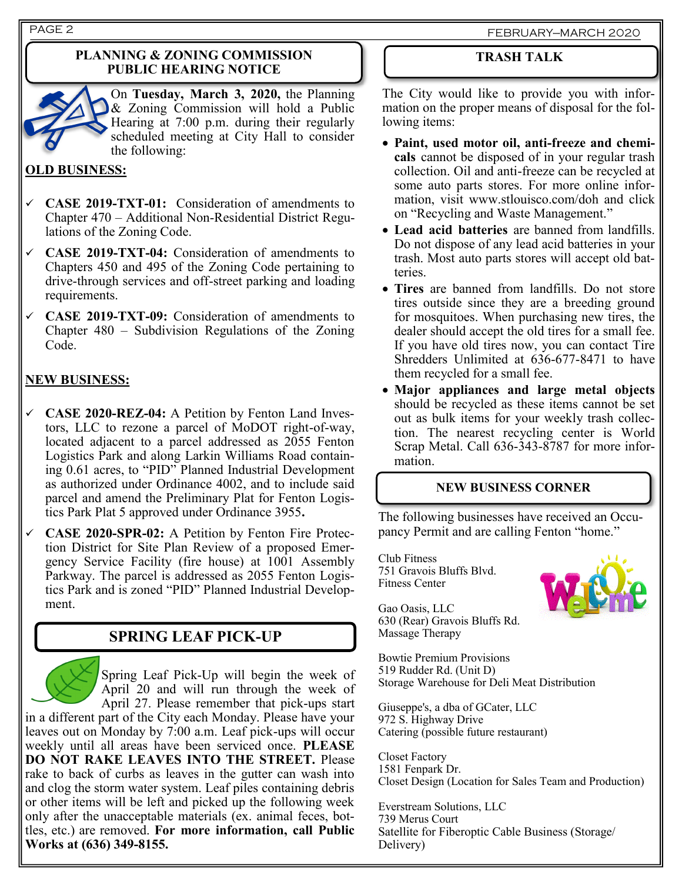#### **PLANNING & ZONING COMMISSION PUBLIC HEARING NOTICE**



On **Tuesday, March 3, 2020,** the Planning & Zoning Commission will hold a Public Hearing at 7:00 p.m. during their regularly scheduled meeting at City Hall to consider the following:

# **OLD BUSINESS:**

- ✓ **CASE 2019-TXT-01:** Consideration of amendments to Chapter 470 – Additional Non-Residential District Regulations of the Zoning Code.
- ✓ **CASE 2019-TXT-04:** Consideration of amendments to Chapters 450 and 495 of the Zoning Code pertaining to drive-through services and off-street parking and loading requirements.
- ✓ **CASE 2019-TXT-09:** Consideration of amendments to Chapter 480 – Subdivision Regulations of the Zoning Code.

# **NEW BUSINESS:**

- ✓ **CASE 2020-REZ-04:** A Petition by Fenton Land Investors, LLC to rezone a parcel of MoDOT right-of-way, located adjacent to a parcel addressed as 2055 Fenton Logistics Park and along Larkin Williams Road containing 0.61 acres, to "PID" Planned Industrial Development as authorized under Ordinance 4002, and to include said parcel and amend the Preliminary Plat for Fenton Logistics Park Plat 5 approved under Ordinance 3955**.**
- ✓ **CASE 2020-SPR-02:** A Petition by Fenton Fire Protection District for Site Plan Review of a proposed Emergency Service Facility (fire house) at 1001 Assembly Parkway. The parcel is addressed as 2055 Fenton Logistics Park and is zoned "PID" Planned Industrial Development.

# **SPRING LEAF PICK-UP**



Spring Leaf Pick-Up will begin the week of April 20 and will run through the week of April 27. Please remember that pick-ups start

in a different part of the City each Monday. Please have your leaves out on Monday by 7:00 a.m. Leaf pick-ups will occur weekly until all areas have been serviced once. **PLEASE DO NOT RAKE LEAVES INTO THE STREET.** Please rake to back of curbs as leaves in the gutter can wash into and clog the storm water system. Leaf piles containing debris or other items will be left and picked up the following week only after the unacceptable materials (ex. animal feces, bottles, etc.) are removed. **For more information, call Public Works at (636) 349-8155.**

### **TRASH TALK**

The City would like to provide you with information on the proper means of disposal for the following items:

- **Paint, used motor oil, anti-freeze and chemicals** cannot be disposed of in your regular trash collection. Oil and anti-freeze can be recycled at some auto parts stores. For more online information, visit www.stlouisco.com/doh and click on "Recycling and Waste Management."
- **Lead acid batteries** are banned from landfills. Do not dispose of any lead acid batteries in your trash. Most auto parts stores will accept old batteries.
- **Tires** are banned from landfills. Do not store tires outside since they are a breeding ground for mosquitoes. When purchasing new tires, the dealer should accept the old tires for a small fee. If you have old tires now, you can contact Tire Shredders Unlimited at 636-677-8471 to have them recycled for a small fee.
- **Major appliances and large metal objects** should be recycled as these items cannot be set out as bulk items for your weekly trash collection. The nearest recycling center is World Scrap Metal. Call 636-343-8787 for more information.

#### **NEW BUSINESS CORNER**

The following businesses have received an Occupancy Permit and are calling Fenton "home."

Club Fitness 751 Gravois Bluffs Blvd. Fitness Center



Gao Oasis, LLC 630 (Rear) Gravois Bluffs Rd. Massage Therapy

Bowtie Premium Provisions 519 Rudder Rd. (Unit D) Storage Warehouse for Deli Meat Distribution

Giuseppe's, a dba of GCater, LLC 972 S. Highway Drive Catering (possible future restaurant)

Closet Factory 1581 Fenpark Dr. Closet Design (Location for Sales Team and Production)

Everstream Solutions, LLC 739 Merus Court Satellite for Fiberoptic Cable Business (Storage/ Delivery)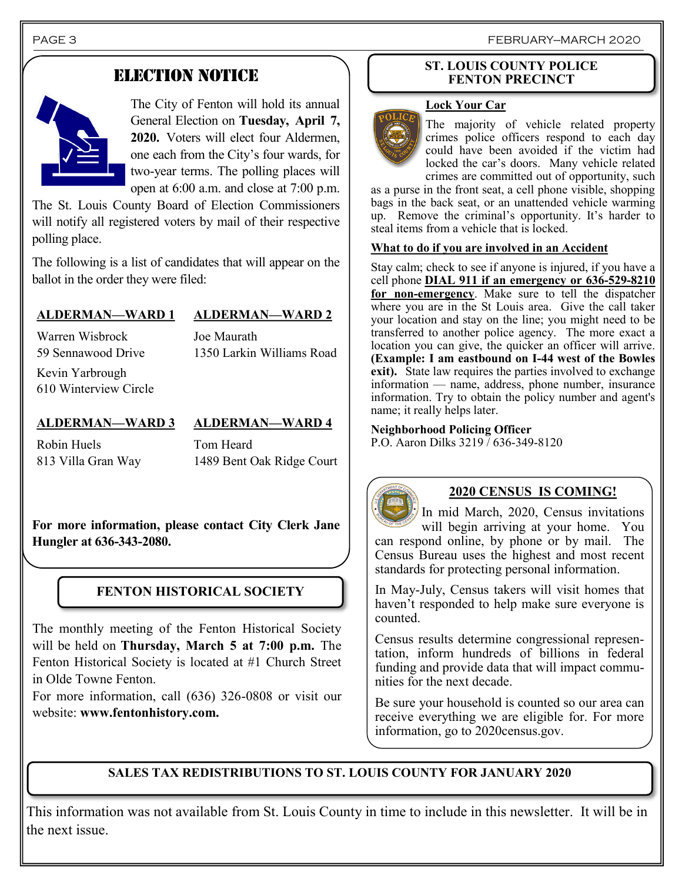PAGE 3 FEBRUARY—MARCH 2020

# ELECTION NOTICE



The City of Fenton will hold its annual General Election on **Tuesday, April 7, 2020.** Voters will elect four Aldermen, one each from the City's four wards, for two-year terms. The polling places will open at 6:00 a.m. and close at 7:00 p.m.

The St. Louis County Board of Election Commissioners will notify all registered voters by mail of their respective polling place.

The following is a list of candidates that will appear on the ballot in the order they were filed:

## **ALDERMAN—WARD 1 ALDERMAN—WARD 2**

Warren Wisbrock 59 Sennawood Drive Joe Maurath 1350 Larkin Williams Road

Kevin Yarbrough 610 Winterview Circle

## **ALDERMAN—WARD 3 ALDERMAN—WARD 4**

Robin Huels 813 Villa Gran Way

Tom Heard 1489 Bent Oak Ridge Court

**For more information, please contact City Clerk Jane Hungler at 636-343-2080.**

# **FENTON HISTORICAL SOCIETY**

The monthly meeting of the Fenton Historical Society will be held on **Thursday, March 5 at 7:00 p.m.** The Fenton Historical Society is located at #1 Church Street in Olde Towne Fenton.

For more information, call (636) 326-0808 or visit our website: **www.fentonhistory.com.**

#### **ST. LOUIS COUNTY POLICE FENTON PRECINCT**

### **Lock Your Car**



The majority of vehicle related property crimes police officers respond to each day could have been avoided if the victim had locked the car's doors. Many vehicle related crimes are committed out of opportunity, such

as a purse in the front seat, a cell phone visible, shopping bags in the back seat, or an unattended vehicle warming up. Remove the criminal's opportunity. It's harder to steal items from a vehicle that is locked.

#### **What to do if you are involved in an Accident**

Stay calm; check to see if anyone is injured, if you have a cell phone **DIAL 911 if an emergency or 636-529-8210 for non-emergency**. Make sure to tell the dispatcher where you are in the St Louis area. Give the call taker your location and stay on the line; you might need to be transferred to another police agency. The more exact a location you can give, the quicker an officer will arrive. **(Example: I am eastbound on I-44 west of the Bowles exit).** State law requires the parties involved to exchange information — name, address, phone number, insurance information. Try to obtain the policy number and agent's name; it really helps later.

**Neighborhood Policing Officer** P.O. Aaron Dilks 3219 / 636-349-8120



# **2020 CENSUS IS COMING!**

In mid March, 2020, Census invitations will begin arriving at your home. You can respond online, by phone or by mail. The Census Bureau uses the highest and most recent standards for protecting personal information.

In May-July, Census takers will visit homes that haven't responded to help make sure everyone is counted.

Census results determine congressional representation, inform hundreds of billions in federal funding and provide data that will impact communities for the next decade.

Be sure your household is counted so our area can receive everything we are eligible for. For more information, go to 2020census.gov.

# **SALES TAX REDISTRIBUTIONS TO ST. LOUIS COUNTY FOR JANUARY 2020**

This information was not available from St. Louis County in time to include in this newsletter. It will be in the next issue.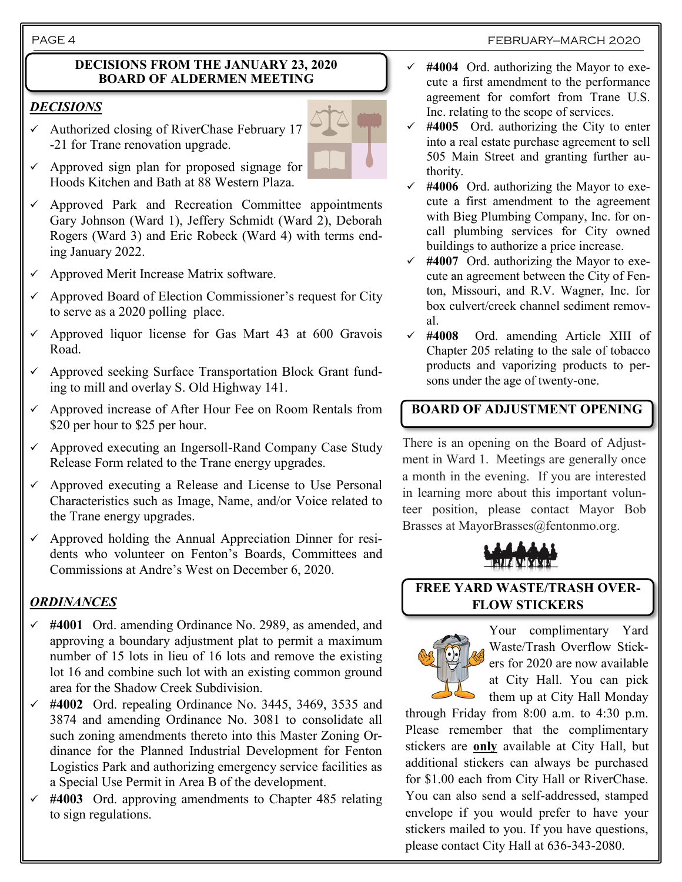#### PAGE 4 FEBRUARY—MARCH 2020

#### **DECISIONS FROM THE JANUARY 23, 2020 BOARD OF ALDERMEN MEETING**

### *DECISIONS*

 $\checkmark$  Authorized closing of RiverChase February 17 -21 for Trane renovation upgrade.



- $\checkmark$  Approved sign plan for proposed signage for Hoods Kitchen and Bath at 88 Western Plaza.
- $\checkmark$  Approved Park and Recreation Committee appointments Gary Johnson (Ward 1), Jeffery Schmidt (Ward 2), Deborah Rogers (Ward 3) and Eric Robeck (Ward 4) with terms ending January 2022.
- $\checkmark$  Approved Merit Increase Matrix software.
- Approved Board of Election Commissioner's request for City to serve as a 2020 polling place.
- $\checkmark$  Approved liquor license for Gas Mart 43 at 600 Gravois Road.
- ✓ Approved seeking Surface Transportation Block Grant funding to mill and overlay S. Old Highway 141.
- ✓ Approved increase of After Hour Fee on Room Rentals from \$20 per hour to \$25 per hour.
- $\checkmark$  Approved executing an Ingersoll-Rand Company Case Study Release Form related to the Trane energy upgrades.
- ✓ Approved executing a Release and License to Use Personal Characteristics such as Image, Name, and/or Voice related to the Trane energy upgrades.
- ✓ Approved holding the Annual Appreciation Dinner for residents who volunteer on Fenton's Boards, Committees and Commissions at Andre's West on December 6, 2020.

# *ORDINANCES*

- ✓ **#4001** Ord. amending Ordinance No. 2989, as amended, and approving a boundary adjustment plat to permit a maximum number of 15 lots in lieu of 16 lots and remove the existing lot 16 and combine such lot with an existing common ground area for the Shadow Creek Subdivision.
- ✓ **#4002** Ord. repealing Ordinance No. 3445, 3469, 3535 and 3874 and amending Ordinance No. 3081 to consolidate all such zoning amendments thereto into this Master Zoning Ordinance for the Planned Industrial Development for Fenton Logistics Park and authorizing emergency service facilities as a Special Use Permit in Area B of the development.
- ✓ **#4003** Ord. approving amendments to Chapter 485 relating to sign regulations.
- $\checkmark$  #4004 Ord. authorizing the Mayor to execute a first amendment to the performance agreement for comfort from Trane U.S. Inc. relating to the scope of services.
- $\checkmark$  #4005 Ord. authorizing the City to enter into a real estate purchase agreement to sell 505 Main Street and granting further authority.
- ✓ **#4006** Ord. authorizing the Mayor to execute a first amendment to the agreement with Bieg Plumbing Company, Inc. for oncall plumbing services for City owned buildings to authorize a price increase.
- $\checkmark$  #4007 Ord. authorizing the Mayor to execute an agreement between the City of Fenton, Missouri, and R.V. Wagner, Inc. for box culvert/creek channel sediment removal.
- ✓ **#4008** Ord. amending Article XIII of Chapter 205 relating to the sale of tobacco products and vaporizing products to persons under the age of twenty-one.

# **BOARD OF ADJUSTMENT OPENING**

There is an opening on the Board of Adjustment in Ward 1. Meetings are generally once a month in the evening. If you are interested in learning more about this important volunteer position, please contact Mayor Bob Brasses at MayorBrasses@fentonmo.org.



**FREE YARD WASTE/TRASH OVER-FLOW STICKERS**



Your complimentary Yard Waste/Trash Overflow Stickers for 2020 are now available at City Hall. You can pick them up at City Hall Monday

through Friday from 8:00 a.m. to 4:30 p.m. Please remember that the complimentary stickers are **only** available at City Hall, but additional stickers can always be purchased for \$1.00 each from City Hall or RiverChase. You can also send a self-addressed, stamped envelope if you would prefer to have your stickers mailed to you. If you have questions, please contact City Hall at 636-343-2080.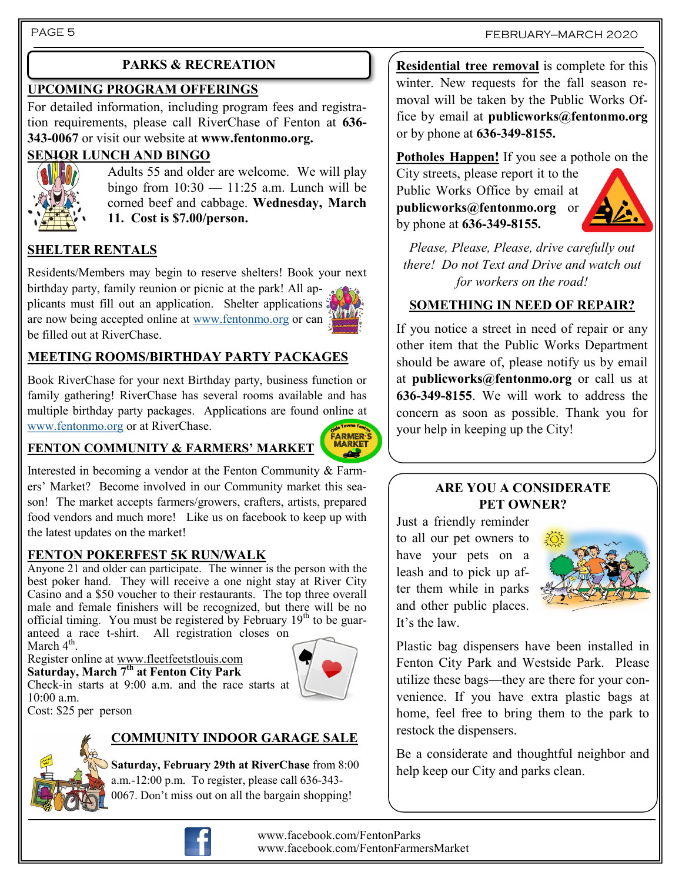#### PAGE 5

## **UPCOMING PROGRAM OFFERINGS**

For detailed information, including program fees and registration requirements, please call RiverChase of Fenton at **636- 343-0067** or visit our website at **www.fentonmo.org.**

### **SENIOR LUNCH AND BINGO**



Adults 55 and older are welcome. We will play bingo from  $10:30 - 11:25$  a.m. Lunch will be corned beef and cabbage. **Wednesday, March 11. Cost is \$7.00/person.**

# **SHELTER RENTALS**

Residents/Members may begin to reserve shelters! Book your next birthday party, family reunion or picnic at the park! All applicants must fill out an application. Shelter applications are now being accepted online at [www.fentonmo.org](http://www.fentonmo.org) or can be filled out at RiverChase.

# **MEETING ROOMS/BIRTHDAY PARTY PACKAGES**

Book RiverChase for your next Birthday party, business function or family gathering! RiverChase has several rooms available and has multiple birthday party packages. Applications are found online at [www.fentonmo.org](http://www.fentonmo.org) or at RiverChase.

#### **FENTON COMMUNITY & FARMERS' MARKET**



Interested in becoming a vendor at the Fenton Community & Farmers' Market? Become involved in our Community market this season! The market accepts farmers/growers, crafters, artists, prepared food vendors and much more! Like us on facebook to keep up with

#### **FENTON POKERFEST 5K RUN/WALK**

the latest updates on the market!

Anyone 21 and older can participate. The winner is the person with the best poker hand. They will receive a one night stay at River City Casino and a \$50 voucher to their restaurants. The top three overall male and female finishers will be recognized, but there will be no official timing. You must be registered by February  $19<sup>th</sup>$  to be guaranteed a race t-shirt. All registration closes on

March  $4^{\text{th}}$ . Register online at [www.fleetfeetstlouis.com](http://www.fleetfeetstlouis.com) **Saturday, March 7th at Fenton City Park**



Cost: \$25 per person

10:00 a.m.

# **COMMUNITY INDOOR GARAGE SALE**

**Saturday, February 29th at RiverChase** from 8:00 a.m.-12:00 p.m. To register, please call 636-343- 0067. Don't miss out on all the bargain shopping!

**PARKS & RECREATION Residential tree removal** is complete for this winter. New requests for the fall season removal will be taken by the Public Works Office by email at **publicworks@fentonmo.org** or by phone at **636-349-8155.**

### **Potholes Happen!** If you see a pothole on the

City streets, please report it to the Public Works Office by email at **publicworks@fentonmo.org** or by phone at **636-349-8155.**



*Please, Please, Please, drive carefully out there! Do not Text and Drive and watch out for workers on the road!*

# **SOMETHING IN NEED OF REPAIR?**

If you notice a street in need of repair or any other item that the Public Works Department should be aware of, please notify us by email at **publicworks@fentonmo.org** or call us at **636-349-8155**. We will work to address the concern as soon as possible. Thank you for your help in keeping up the City!

#### **ARE YOU A CONSIDERATE PET OWNER?**

Just a friendly reminder to all our pet owners to have your pets on a leash and to pick up after them while in parks and other public places. It's the law.



Plastic bag dispensers have been installed in Fenton City Park and Westside Park. Please utilize these bags—they are there for your convenience. If you have extra plastic bags at home, feel free to bring them to the park to restock the dispensers.

Be a considerate and thoughtful neighbor and help keep our City and parks clean.